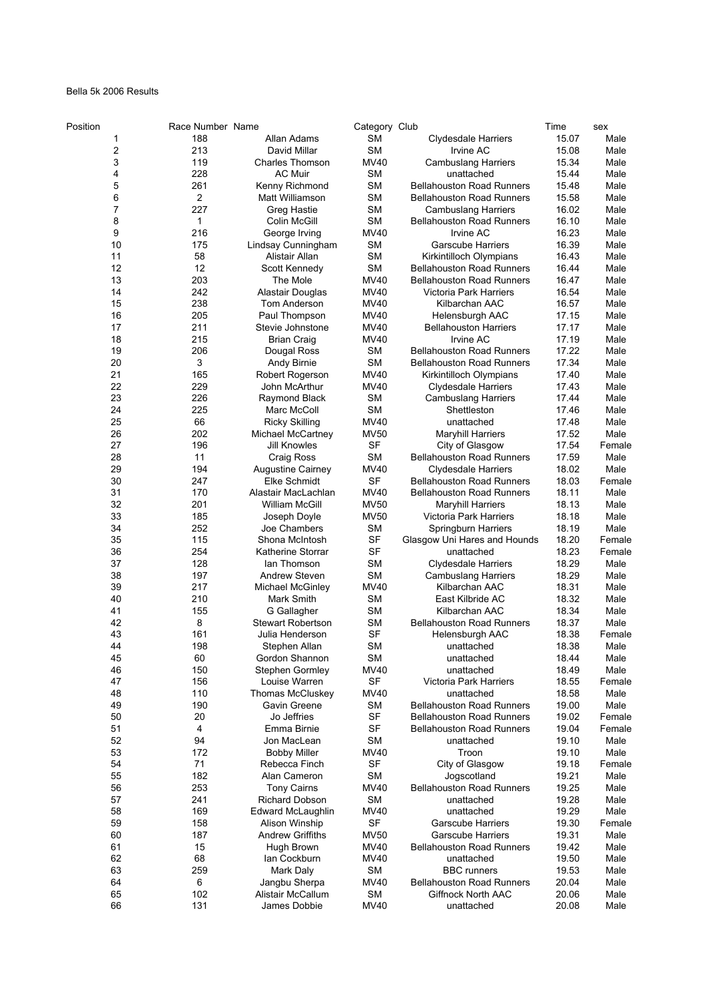## Bella 5k 2006 Results

| Position | Race Number Name |                          | Category Club |                                  | Time  | sex    |
|----------|------------------|--------------------------|---------------|----------------------------------|-------|--------|
| 1        | 188              | Allan Adams              | <b>SM</b>     | <b>Clydesdale Harriers</b>       | 15.07 | Male   |
| 2        | 213              | David Millar             | <b>SM</b>     | Irvine AC                        | 15.08 | Male   |
| 3        | 119              | <b>Charles Thomson</b>   | <b>MV40</b>   | <b>Cambuslang Harriers</b>       | 15.34 | Male   |
| 4        | 228              | <b>AC Muir</b>           | SM            | unattached                       | 15.44 | Male   |
| 5        | 261              | Kenny Richmond           | <b>SM</b>     | <b>Bellahouston Road Runners</b> | 15.48 | Male   |
| 6        | $\overline{2}$   | Matt Williamson          | <b>SM</b>     | <b>Bellahouston Road Runners</b> | 15.58 | Male   |
| 7        | 227              | Greg Hastie              | SΜ            | <b>Cambuslang Harriers</b>       | 16.02 | Male   |
| 8        | 1                | Colin McGill             | <b>SM</b>     | <b>Bellahouston Road Runners</b> | 16.10 | Male   |
| 9        | 216              | George Irving            | MV40          | Irvine AC                        | 16.23 | Male   |
| 10       | 175              | Lindsay Cunningham       | <b>SM</b>     | <b>Garscube Harriers</b>         | 16.39 | Male   |
| 11       | 58               | Alistair Allan           | <b>SM</b>     | Kirkintilloch Olympians          | 16.43 | Male   |
| 12       | 12               | Scott Kennedy            | <b>SM</b>     | <b>Bellahouston Road Runners</b> | 16.44 | Male   |
| 13       | 203              | The Mole                 | MV40          | <b>Bellahouston Road Runners</b> | 16.47 | Male   |
| 14       | 242              | Alastair Douglas         | MV40          | <b>Victoria Park Harriers</b>    | 16.54 | Male   |
| 15       | 238              | Tom Anderson             | MV40          | Kilbarchan AAC                   | 16.57 | Male   |
| 16       | 205              | Paul Thompson            | MV40          | Helensburgh AAC                  | 17.15 | Male   |
| 17       | 211              | Stevie Johnstone         | MV40          | <b>Bellahouston Harriers</b>     | 17.17 | Male   |
| 18       | 215              | <b>Brian Craig</b>       | MV40          | Irvine AC                        | 17.19 | Male   |
| 19       | 206              | Dougal Ross              | SM            | <b>Bellahouston Road Runners</b> | 17.22 | Male   |
| 20       | 3                | Andy Birnie              | <b>SM</b>     | <b>Bellahouston Road Runners</b> | 17.34 | Male   |
| 21       | 165              | Robert Rogerson          | <b>MV40</b>   | Kirkintilloch Olympians          | 17.40 | Male   |
| 22       | 229              | John McArthur            | <b>MV40</b>   | <b>Clydesdale Harriers</b>       | 17.43 | Male   |
| 23       | 226              | Raymond Black            | <b>SM</b>     | <b>Cambuslang Harriers</b>       | 17.44 | Male   |
| 24       | 225              | Marc McColl              | <b>SM</b>     | Shettleston                      | 17.46 | Male   |
| 25       | 66               | <b>Ricky Skilling</b>    | <b>MV40</b>   | unattached                       | 17.48 | Male   |
| 26       | 202              | Michael McCartney        | <b>MV50</b>   | <b>Maryhill Harriers</b>         | 17.52 | Male   |
| 27       | 196              | Jill Knowles             | <b>SF</b>     | City of Glasgow                  | 17.54 | Female |
| 28       | 11               | Craig Ross               | <b>SM</b>     | <b>Bellahouston Road Runners</b> | 17.59 | Male   |
| 29       | 194              | Augustine Cairney        | MV40          | <b>Clydesdale Harriers</b>       | 18.02 | Male   |
| 30       | 247              | Elke Schmidt             | SF            | Bellahouston Road Runners        | 18.03 | Female |
| 31       | 170              | Alastair MacLachlan      | MV40          | <b>Bellahouston Road Runners</b> | 18.11 | Male   |
| 32       | 201              | William McGill           | <b>MV50</b>   | <b>Maryhill Harriers</b>         | 18.13 | Male   |
| 33       | 185              | Joseph Doyle             | <b>MV50</b>   | Victoria Park Harriers           | 18.18 | Male   |
| 34       | 252              | Joe Chambers             | SΜ            | Springburn Harriers              | 18.19 | Male   |
| 35       | 115              | Shona McIntosh           | <b>SF</b>     | Glasgow Uni Hares and Hounds     | 18.20 | Female |
| 36       | 254              | Katherine Storrar        | <b>SF</b>     | unattached                       | 18.23 | Female |
| 37       | 128              | lan Thomson              | SM            | <b>Clydesdale Harriers</b>       | 18.29 | Male   |
| 38       | 197              | Andrew Steven            | <b>SM</b>     | <b>Cambuslang Harriers</b>       | 18.29 | Male   |
| 39       | 217              | Michael McGinley         | MV40          | Kilbarchan AAC                   | 18.31 | Male   |
| 40       | 210              | Mark Smith               | <b>SM</b>     | East Kilbride AC                 | 18.32 | Male   |
| 41       | 155              |                          | <b>SM</b>     | Kilbarchan AAC                   | 18.34 |        |
|          |                  | G Gallagher              |               |                                  |       | Male   |
| 42       | 8                | <b>Stewart Robertson</b> | SM            | <b>Bellahouston Road Runners</b> | 18.37 | Male   |
| 43       | 161              | Julia Henderson          | <b>SF</b>     | Helensburgh AAC                  | 18.38 | Female |
| 44       | 198              | Stephen Allan            | <b>SM</b>     | unattached                       | 18.38 | Male   |
| 45       | 60               | Gordon Shannon           | <b>SM</b>     | unattached                       | 18.44 | Male   |
| 46       | 150              | Stephen Gormley          | <b>MV40</b>   | unattached                       | 18.49 | Male   |
| 47       | 156              | Louise Warren            | <b>SF</b>     | Victoria Park Harriers           | 18.55 | Female |
| 48       | 110              | Thomas McCluskey         | MV40          | unattached                       | 18.58 | Male   |
| 49       | 190              | Gavin Greene             | <b>SM</b>     | <b>Bellahouston Road Runners</b> | 19.00 | Male   |
| 50       | 20               | Jo Jeffries              | <b>SF</b>     | <b>Bellahouston Road Runners</b> | 19.02 | Female |
| 51       | 4                | Emma Birnie              | <b>SF</b>     | <b>Bellahouston Road Runners</b> | 19.04 | Female |
| 52       | 94               | Jon MacLean              | <b>SM</b>     | unattached                       | 19.10 | Male   |
| 53       | 172              | <b>Bobby Miller</b>      | MV40          | Troon                            | 19.10 | Male   |
| 54       | 71               | Rebecca Finch            | SF            | City of Glasgow                  | 19.18 | Female |
| 55       | 182              | Alan Cameron             | <b>SM</b>     | Jogscotland                      | 19.21 | Male   |
| 56       | 253              | <b>Tony Cairns</b>       | <b>MV40</b>   | <b>Bellahouston Road Runners</b> | 19.25 | Male   |
| 57       | 241              | Richard Dobson           | <b>SM</b>     | unattached                       | 19.28 | Male   |
| 58       | 169              | Edward McLaughlin        | <b>MV40</b>   | unattached                       | 19.29 | Male   |
| 59       | 158              | Alison Winship           | SF            | <b>Garscube Harriers</b>         | 19.30 | Female |
| 60       | 187              | Andrew Griffiths         | <b>MV50</b>   | <b>Garscube Harriers</b>         | 19.31 | Male   |
| 61       | 15               | Hugh Brown               | <b>MV40</b>   | <b>Bellahouston Road Runners</b> | 19.42 | Male   |
| 62       | 68               | lan Cockburn             | MV40          | unattached                       | 19.50 | Male   |
| 63       | 259              | Mark Daly                | <b>SM</b>     | <b>BBC</b> runners               | 19.53 | Male   |
| 64       | 6                | Jangbu Sherpa            | MV40          | <b>Bellahouston Road Runners</b> | 20.04 | Male   |
| 65       | 102              | Alistair McCallum        | <b>SM</b>     | Giffnock North AAC               | 20.06 | Male   |
| 66       | 131              | James Dobbie             | MV40          | unattached                       | 20.08 | Male   |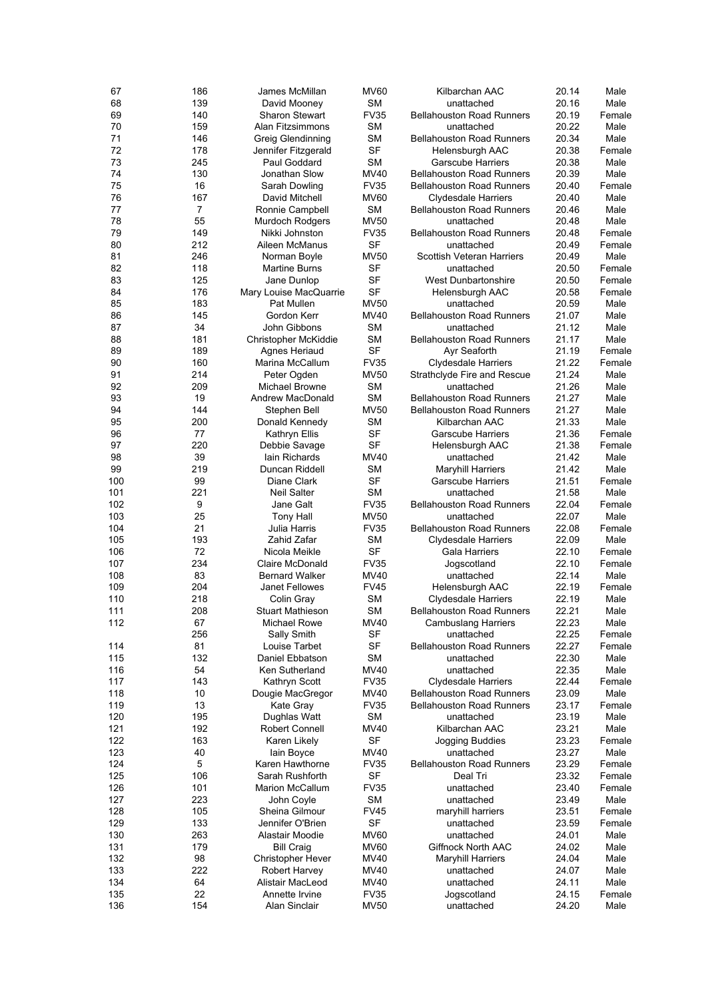| 67  | 186 | James McMillan                   | <b>MV60</b> | Kilbarchan AAC                   | 20.14 | Male             |
|-----|-----|----------------------------------|-------------|----------------------------------|-------|------------------|
| 68  | 139 | David Mooney                     | SΜ          | unattached                       | 20.16 | Male             |
| 69  | 140 | <b>Sharon Stewart</b>            | <b>FV35</b> | <b>Bellahouston Road Runners</b> | 20.19 | Female           |
| 70  | 159 | Alan Fitzsimmons                 | <b>SM</b>   | unattached                       | 20.22 | Male             |
| 71  | 146 | Greig Glendinning                | SΜ          | <b>Bellahouston Road Runners</b> | 20.34 | Male             |
| 72  | 178 | Jennifer Fitzgerald              | <b>SF</b>   | Helensburgh AAC                  | 20.38 | Female           |
| 73  | 245 | Paul Goddard                     | <b>SM</b>   | <b>Garscube Harriers</b>         | 20.38 | Male             |
| 74  | 130 | Jonathan Slow                    | MV40        | <b>Bellahouston Road Runners</b> | 20.39 | Male             |
| 75  | 16  | Sarah Dowling                    | <b>FV35</b> | <b>Bellahouston Road Runners</b> | 20.40 | Female           |
| 76  | 167 | David Mitchell                   | <b>MV60</b> | Clydesdale Harriers              | 20.40 | Male             |
| 77  | 7   | Ronnie Campbell                  | SΜ          | <b>Bellahouston Road Runners</b> | 20.46 | Male             |
| 78  | 55  | Murdoch Rodgers                  | <b>MV50</b> | unattached                       | 20.48 | Male             |
| 79  | 149 | Nikki Johnston                   | <b>FV35</b> | <b>Bellahouston Road Runners</b> | 20.48 | Female           |
| 80  | 212 |                                  | <b>SF</b>   |                                  |       |                  |
| 81  |     | Aileen McManus                   |             | unattached                       | 20.49 | Female           |
|     | 246 | Norman Boyle                     | <b>MV50</b> | <b>Scottish Veteran Harriers</b> | 20.49 | Male             |
| 82  | 118 | <b>Martine Burns</b>             | SF          | unattached                       | 20.50 | Female           |
| 83  | 125 | Jane Dunlop                      | <b>SF</b>   | <b>West Dunbartonshire</b>       | 20.50 | Female           |
| 84  | 176 | Mary Louise MacQuarrie           | <b>SF</b>   | Helensburgh AAC                  | 20.58 | Female           |
| 85  | 183 | Pat Mullen                       | <b>MV50</b> | unattached                       | 20.59 | Male             |
| 86  | 145 | Gordon Kerr                      | MV40        | <b>Bellahouston Road Runners</b> | 21.07 | Male             |
| 87  | 34  | John Gibbons                     | <b>SM</b>   | unattached                       | 21.12 | Male             |
| 88  | 181 | Christopher McKiddie             | SΜ          | <b>Bellahouston Road Runners</b> | 21.17 | Male             |
| 89  | 189 | Agnes Heriaud                    | <b>SF</b>   | Ayr Seaforth                     | 21.19 | Female           |
| 90  | 160 | Marina McCallum                  | <b>FV35</b> | Clydesdale Harriers              | 21.22 | Female           |
| 91  | 214 | Peter Ogden                      | <b>MV50</b> | Strathclyde Fire and Rescue      | 21.24 | Male             |
| 92  | 209 | <b>Michael Browne</b>            | SΜ          | unattached                       | 21.26 | Male             |
| 93  | 19  | Andrew MacDonald                 | SΜ          | <b>Bellahouston Road Runners</b> | 21.27 | Male             |
| 94  | 144 | Stephen Bell                     | <b>MV50</b> | <b>Bellahouston Road Runners</b> | 21.27 | Male             |
| 95  | 200 | Donald Kennedy                   | SΜ          | Kilbarchan AAC                   | 21.33 | Male             |
| 96  | 77  | Kathryn Ellis                    | <b>SF</b>   | <b>Garscube Harriers</b>         | 21.36 | Female           |
| 97  | 220 | Debbie Savage                    | <b>SF</b>   | Helensburgh AAC                  | 21.38 | Female           |
| 98  | 39  | lain Richards                    | MV40        | unattached                       | 21.42 | Male             |
| 99  | 219 | Duncan Riddell                   | SΜ          | <b>Maryhill Harriers</b>         | 21.42 | Male             |
| 100 | 99  | Diane Clark                      | <b>SF</b>   | Garscube Harriers                | 21.51 | Female           |
| 101 | 221 | <b>Neil Salter</b>               | <b>SM</b>   | unattached                       | 21.58 | Male             |
| 102 | 9   | Jane Galt                        | <b>FV35</b> | <b>Bellahouston Road Runners</b> | 22.04 | Female           |
| 103 | 25  | Tony Hall                        | <b>MV50</b> | unattached                       | 22.07 | Male             |
| 104 | 21  | Julia Harris                     | <b>FV35</b> | <b>Bellahouston Road Runners</b> | 22.08 | Female           |
| 105 | 193 | Zahid Zafar                      | SΜ          | <b>Clydesdale Harriers</b>       | 22.09 | Male             |
| 106 | 72  |                                  | SF          |                                  | 22.10 |                  |
| 107 | 234 | Nicola Meikle<br>Claire McDonald | <b>FV35</b> | Gala Harriers                    | 22.10 | Female<br>Female |
|     |     |                                  |             | Jogscotland                      |       |                  |
| 108 | 83  | <b>Bernard Walker</b>            | MV40        | unattached                       | 22.14 | Male             |
| 109 | 204 | Janet Fellowes                   | <b>FV45</b> | Helensburgh AAC                  | 22.19 | Female           |
| 110 | 218 | Colin Gray                       | <b>SM</b>   | <b>Clydesdale Harriers</b>       | 22.19 | Male             |
| 111 | 208 | <b>Stuart Mathieson</b>          | <b>SM</b>   | <b>Bellahouston Road Runners</b> | 22.21 | Male             |
| 112 | 67  | Michael Rowe                     | <b>MV40</b> | <b>Cambuslang Harriers</b>       | 22.23 | Male             |
|     | 256 | Sally Smith                      | <b>SF</b>   | unattached                       | 22.25 | Female           |
| 114 | 81  | Louise Tarbet                    | SF          | <b>Bellahouston Road Runners</b> | 22.27 | Female           |
| 115 | 132 | Daniel Ebbatson                  | SΜ          | unattached                       | 22.30 | Male             |
| 116 | 54  | Ken Sutherland                   | <b>MV40</b> | unattached                       | 22.35 | Male             |
| 117 | 143 | Kathryn Scott                    | <b>FV35</b> | <b>Clydesdale Harriers</b>       | 22.44 | Female           |
| 118 | 10  | Dougie MacGregor                 | MV40        | <b>Bellahouston Road Runners</b> | 23.09 | Male             |
| 119 | 13  | Kate Gray                        | <b>FV35</b> | <b>Bellahouston Road Runners</b> | 23.17 | Female           |
| 120 | 195 | Dughlas Watt                     | <b>SM</b>   | unattached                       | 23.19 | Male             |
| 121 | 192 | <b>Robert Connell</b>            | MV40        | Kilbarchan AAC                   | 23.21 | Male             |
| 122 | 163 | Karen Likely                     | <b>SF</b>   | Jogging Buddies                  | 23.23 | Female           |
| 123 | 40  | lain Boyce                       | <b>MV40</b> | unattached                       | 23.27 | Male             |
| 124 | 5   | Karen Hawthorne                  | <b>FV35</b> | <b>Bellahouston Road Runners</b> | 23.29 | Female           |
| 125 | 106 | Sarah Rushforth                  | SF          | Deal Tri                         | 23.32 | Female           |
| 126 | 101 | <b>Marion McCallum</b>           | <b>FV35</b> | unattached                       | 23.40 | Female           |
| 127 | 223 | John Coyle                       | SΜ          | unattached                       | 23.49 | Male             |
| 128 | 105 | Sheina Gilmour                   | <b>FV45</b> | maryhill harriers                | 23.51 | Female           |
| 129 | 133 | Jennifer O'Brien                 | <b>SF</b>   | unattached                       | 23.59 | Female           |
|     |     |                                  |             |                                  |       |                  |
| 130 | 263 | Alastair Moodie                  | <b>MV60</b> | unattached                       | 24.01 | Male             |
| 131 | 179 | <b>Bill Craig</b>                | <b>MV60</b> | Giffnock North AAC               | 24.02 | Male             |
| 132 | 98  | <b>Christopher Hever</b>         | MV40        | <b>Maryhill Harriers</b>         | 24.04 | Male             |
| 133 | 222 | Robert Harvey                    | MV40        | unattached                       | 24.07 | Male             |
| 134 | 64  | Alistair MacLeod                 | MV40        | unattached                       | 24.11 | Male             |
| 135 | 22  | Annette Irvine                   | <b>FV35</b> | Jogscotland                      | 24.15 | Female           |
| 136 | 154 | Alan Sinclair                    | <b>MV50</b> | unattached                       | 24.20 | Male             |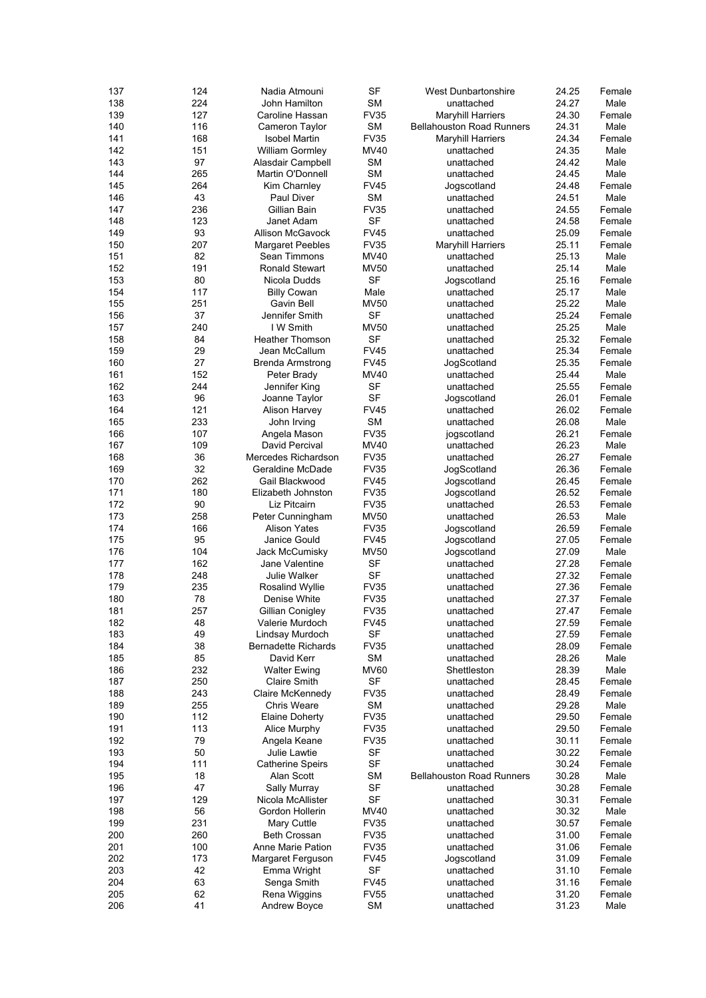| 137 | 124 | Nadia Atmouni              | SF          | <b>West Dunbartonshire</b>       | 24.25 | Female |
|-----|-----|----------------------------|-------------|----------------------------------|-------|--------|
| 138 | 224 | John Hamilton              | <b>SM</b>   | unattached                       | 24.27 | Male   |
| 139 | 127 | Caroline Hassan            | <b>FV35</b> | <b>Maryhill Harriers</b>         | 24.30 | Female |
| 140 | 116 | Cameron Taylor             | <b>SM</b>   | <b>Bellahouston Road Runners</b> | 24.31 | Male   |
| 141 | 168 | Isobel Martin              | <b>FV35</b> | <b>Maryhill Harriers</b>         | 24.34 | Female |
| 142 | 151 | <b>William Gormley</b>     | <b>MV40</b> | unattached                       | 24.35 | Male   |
| 143 | 97  | Alasdair Campbell          | <b>SM</b>   | unattached                       | 24.42 | Male   |
| 144 | 265 | Martin O'Donnell           | SM          | unattached                       | 24.45 | Male   |
| 145 | 264 | Kim Charnley               | <b>FV45</b> | Jogscotland                      | 24.48 | Female |
| 146 | 43  | Paul Diver                 | <b>SM</b>   | unattached                       | 24.51 | Male   |
| 147 | 236 | Gillian Bain               | <b>FV35</b> | unattached                       | 24.55 | Female |
| 148 | 123 | Janet Adam                 | <b>SF</b>   | unattached                       | 24.58 | Female |
| 149 | 93  | <b>Allison McGavock</b>    | <b>FV45</b> | unattached                       | 25.09 | Female |
| 150 | 207 | Margaret Peebles           | <b>FV35</b> | <b>Maryhill Harriers</b>         | 25.11 | Female |
| 151 | 82  | Sean Timmons               | MV40        | unattached                       | 25.13 | Male   |
| 152 | 191 | <b>Ronald Stewart</b>      | <b>MV50</b> | unattached                       | 25.14 | Male   |
| 153 | 80  | Nicola Dudds               | <b>SF</b>   | Jogscotland                      | 25.16 | Female |
| 154 | 117 | <b>Billy Cowan</b>         | Male        | unattached                       | 25.17 | Male   |
| 155 | 251 | Gavin Bell                 | <b>MV50</b> | unattached                       | 25.22 | Male   |
| 156 | 37  | Jennifer Smith             | <b>SF</b>   |                                  | 25.24 | Female |
|     | 240 | I W Smith                  |             | unattached                       |       |        |
| 157 |     |                            | <b>MV50</b> | unattached                       | 25.25 | Male   |
| 158 | 84  | <b>Heather Thomson</b>     | <b>SF</b>   | unattached                       | 25.32 | Female |
| 159 | 29  | Jean McCallum              | <b>FV45</b> | unattached                       | 25.34 | Female |
| 160 | 27  | <b>Brenda Armstrong</b>    | <b>FV45</b> | JogScotland                      | 25.35 | Female |
| 161 | 152 | Peter Brady                | <b>MV40</b> | unattached                       | 25.44 | Male   |
| 162 | 244 | Jennifer King              | <b>SF</b>   | unattached                       | 25.55 | Female |
| 163 | 96  | Joanne Taylor              | SF          | Jogscotland                      | 26.01 | Female |
| 164 | 121 | <b>Alison Harvey</b>       | <b>FV45</b> | unattached                       | 26.02 | Female |
| 165 | 233 | John Irving                | <b>SM</b>   | unattached                       | 26.08 | Male   |
| 166 | 107 | Angela Mason               | <b>FV35</b> | jogscotland                      | 26.21 | Female |
| 167 | 109 | David Percival             | <b>MV40</b> | unattached                       | 26.23 | Male   |
| 168 | 36  | Mercedes Richardson        | <b>FV35</b> | unattached                       | 26.27 | Female |
| 169 | 32  | Geraldine McDade           | <b>FV35</b> | JogScotland                      | 26.36 | Female |
| 170 | 262 | Gail Blackwood             | <b>FV45</b> | Jogscotland                      | 26.45 | Female |
| 171 | 180 | Elizabeth Johnston         | <b>FV35</b> | Jogscotland                      | 26.52 | Female |
| 172 | 90  | Liz Pitcairn               | <b>FV35</b> | unattached                       | 26.53 | Female |
| 173 | 258 | Peter Cunningham           | <b>MV50</b> | unattached                       | 26.53 | Male   |
| 174 | 166 | <b>Alison Yates</b>        | <b>FV35</b> | Jogscotland                      | 26.59 | Female |
| 175 | 95  | Janice Gould               | <b>FV45</b> | Jogscotland                      | 27.05 | Female |
| 176 | 104 | Jack McCumisky             | MV50        | Jogscotland                      | 27.09 | Male   |
| 177 | 162 | Jane Valentine             | SF          | unattached                       | 27.28 | Female |
| 178 | 248 | Julie Walker               | <b>SF</b>   | unattached                       | 27.32 | Female |
| 179 | 235 | Rosalind Wyllie            | <b>FV35</b> | unattached                       | 27.36 | Female |
| 180 | 78  | Denise White               | <b>FV35</b> | unattached                       | 27.37 | Female |
| 181 | 257 | Gillian Conigley           | <b>FV35</b> | unattached                       | 27.47 | Female |
| 182 | 48  | Valerie Murdoch            | <b>FV45</b> | unattached                       | 27.59 | Female |
| 183 | 49  | Lindsay Murdoch            | <b>SF</b>   | unattached                       | 27.59 | Female |
| 184 | 38  | <b>Bernadette Richards</b> | <b>FV35</b> | unattached                       | 28.09 | Female |
| 185 | 85  | David Kerr                 | <b>SM</b>   | unattached                       | 28.26 | Male   |
| 186 | 232 | <b>Walter Ewing</b>        | <b>MV60</b> | Shettleston                      | 28.39 | Male   |
| 187 | 250 | <b>Claire Smith</b>        | <b>SF</b>   | unattached                       | 28.45 | Female |
| 188 | 243 | Claire McKennedy           | <b>FV35</b> | unattached                       | 28.49 | Female |
| 189 | 255 | <b>Chris Weare</b>         | <b>SM</b>   | unattached                       | 29.28 | Male   |
| 190 | 112 | <b>Elaine Doherty</b>      | <b>FV35</b> | unattached                       | 29.50 | Female |
| 191 | 113 | Alice Murphy               | <b>FV35</b> | unattached                       | 29.50 | Female |
| 192 | 79  | Angela Keane               | <b>FV35</b> | unattached                       | 30.11 | Female |
| 193 | 50  | <b>Julie Lawtie</b>        | <b>SF</b>   | unattached                       | 30.22 | Female |
|     | 111 |                            | <b>SF</b>   |                                  |       |        |
| 194 |     | <b>Catherine Speirs</b>    | <b>SM</b>   | unattached                       | 30.24 | Female |
| 195 | 18  | Alan Scott                 |             | <b>Bellahouston Road Runners</b> | 30.28 | Male   |
| 196 | 47  | Sally Murray               | SF          | unattached                       | 30.28 | Female |
| 197 | 129 | Nicola McAllister          | SF          | unattached                       | 30.31 | Female |
| 198 | 56  | Gordon Hollerin            | MV40        | unattached                       | 30.32 | Male   |
| 199 | 231 | Mary Cuttle                | <b>FV35</b> | unattached                       | 30.57 | Female |
| 200 | 260 | Beth Crossan               | <b>FV35</b> | unattached                       | 31.00 | Female |
| 201 | 100 | Anne Marie Pation          | <b>FV35</b> | unattached                       | 31.06 | Female |
| 202 | 173 | Margaret Ferguson          | <b>FV45</b> | Jogscotland                      | 31.09 | Female |
| 203 | 42  | Emma Wright                | SF          | unattached                       | 31.10 | Female |
| 204 | 63  | Senga Smith                | <b>FV45</b> | unattached                       | 31.16 | Female |
| 205 | 62  | Rena Wiggins               | <b>FV55</b> | unattached                       | 31.20 | Female |
| 206 | 41  | Andrew Boyce               | <b>SM</b>   | unattached                       | 31.23 | Male   |